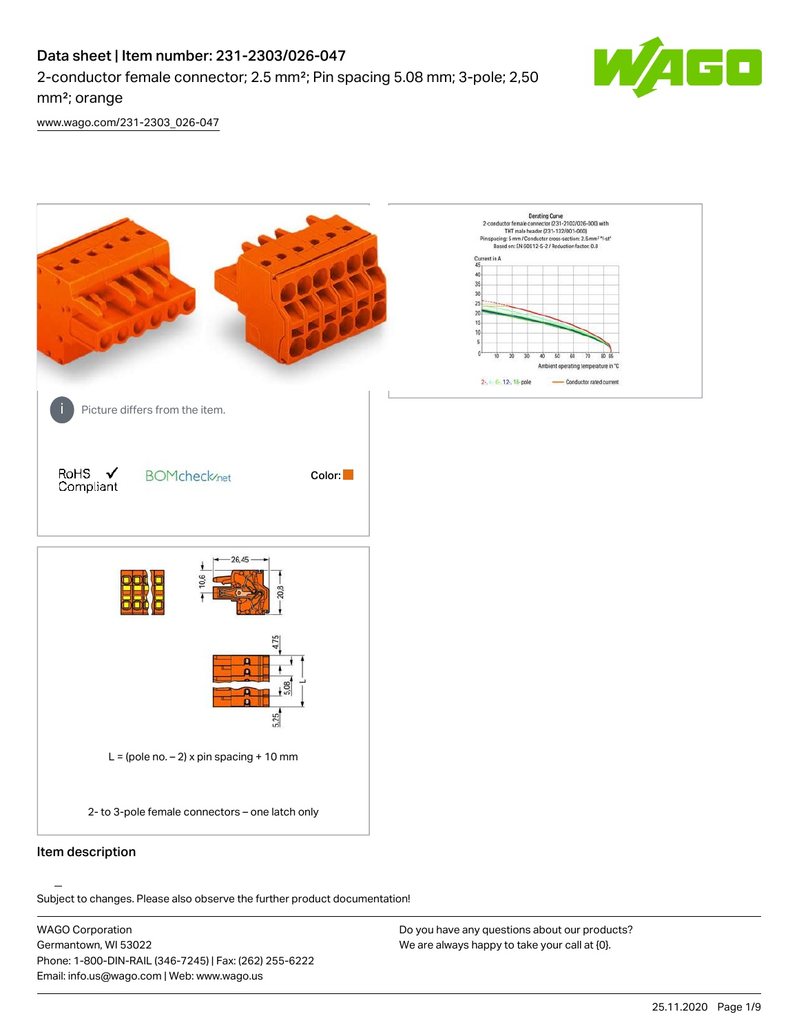# Data sheet | Item number: 231-2303/026-047

2-conductor female connector; 2.5 mm²; Pin spacing 5.08 mm; 3-pole; 2,50 mm²; orange



[www.wago.com/231-2303\\_026-047](http://www.wago.com/231-2303_026-047)



#### Item description

Subject to changes. Please also observe the further product documentation!

WAGO Corporation Germantown, WI 53022 Phone: 1-800-DIN-RAIL (346-7245) | Fax: (262) 255-6222 Email: info.us@wago.com | Web: www.wago.us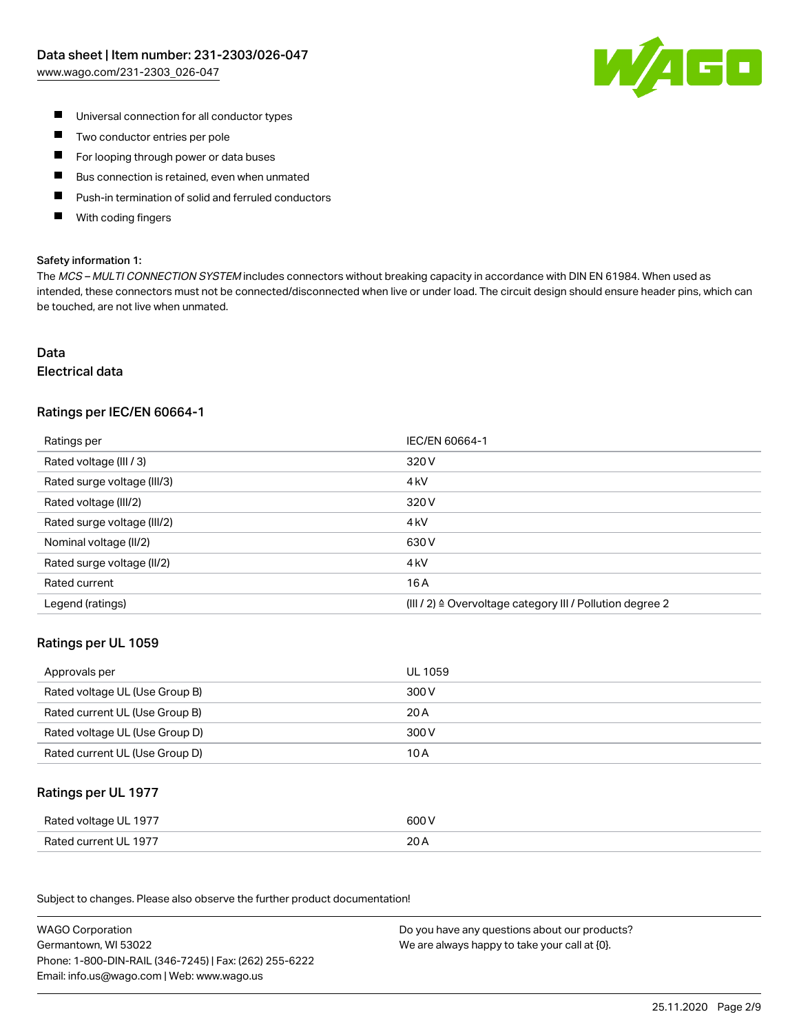![](_page_1_Picture_1.jpeg)

- $\blacksquare$  Universal connection for all conductor types
- $\blacksquare$ Two conductor entries per pole
- For looping through power or data buses  $\blacksquare$
- П Bus connection is retained, even when unmated
- $\blacksquare$ Push-in termination of solid and ferruled conductors
- $\blacksquare$ With coding fingers

#### Safety information 1:

The MCS - MULTI CONNECTION SYSTEM includes connectors without breaking capacity in accordance with DIN EN 61984. When used as intended, these connectors must not be connected/disconnected when live or under load. The circuit design should ensure header pins, which can be touched, are not live when unmated.

## Data

#### Electrical data

## Ratings per IEC/EN 60664-1

| Ratings per                 | IEC/EN 60664-1                                            |
|-----------------------------|-----------------------------------------------------------|
| Rated voltage (III / 3)     | 320 V                                                     |
| Rated surge voltage (III/3) | 4 <sub>k</sub> V                                          |
| Rated voltage (III/2)       | 320 V                                                     |
| Rated surge voltage (III/2) | 4 <sub>k</sub> V                                          |
| Nominal voltage (II/2)      | 630 V                                                     |
| Rated surge voltage (II/2)  | 4 <sub>k</sub> V                                          |
| Rated current               | 16 A                                                      |
| Legend (ratings)            | (III / 2) ≙ Overvoltage category III / Pollution degree 2 |

#### Ratings per UL 1059

| Approvals per                  | UL 1059 |
|--------------------------------|---------|
| Rated voltage UL (Use Group B) | 300 V   |
| Rated current UL (Use Group B) | 20 A    |
| Rated voltage UL (Use Group D) | 300 V   |
| Rated current UL (Use Group D) | 10 A    |

#### Ratings per UL 1977

| Rated voltage UL 1977 | 600 V |
|-----------------------|-------|
| Rated current UL 1977 | 20A   |

Subject to changes. Please also observe the further product documentation! Ratings per CSA

| <b>WAGO Corporation</b>                                | Do you have any questions about our products? |
|--------------------------------------------------------|-----------------------------------------------|
| Germantown, WI 53022                                   | We are always happy to take your call at {0}. |
| Phone: 1-800-DIN-RAIL (346-7245)   Fax: (262) 255-6222 |                                               |
| Email: info.us@wago.com   Web: www.wago.us             |                                               |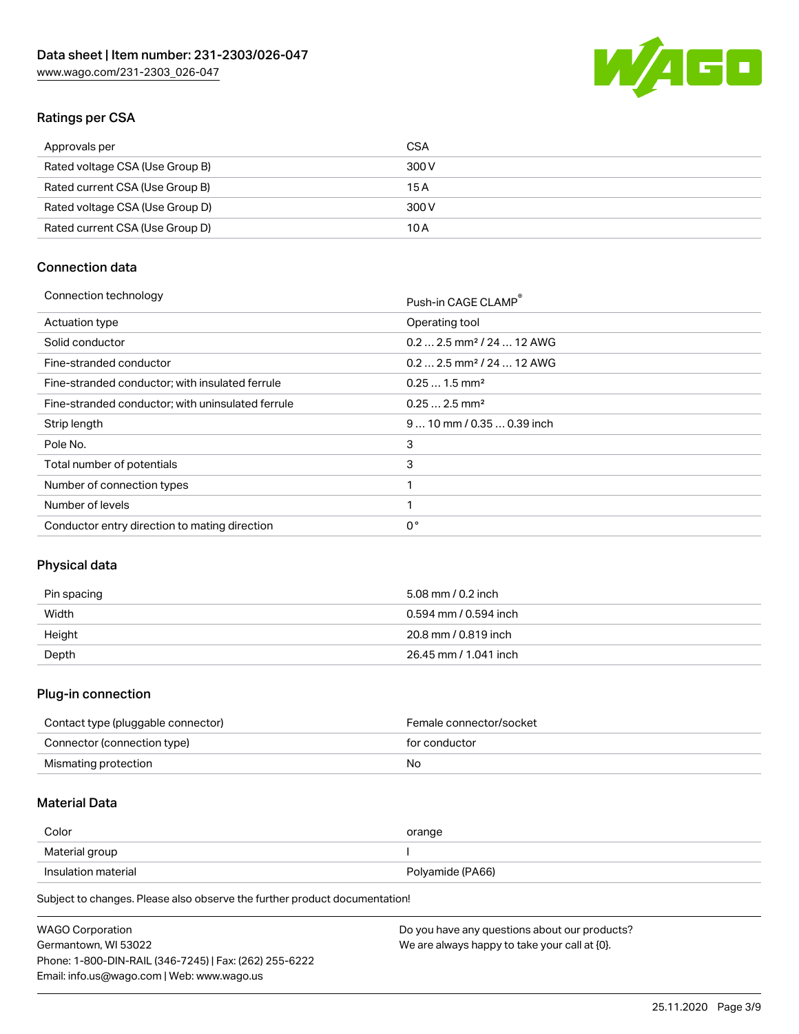![](_page_2_Picture_1.jpeg)

# Ratings per CSA

| Approvals per                   | CSA   |
|---------------------------------|-------|
| Rated voltage CSA (Use Group B) | 300 V |
| Rated current CSA (Use Group B) | 15 A  |
| Rated voltage CSA (Use Group D) | 300 V |
| Rated current CSA (Use Group D) | 10 A  |

# Connection data

| Connection technology |                                                          |
|-----------------------|----------------------------------------------------------|
|                       | $D_{\text{task}}$ in $C$ A $C$ $\Gamma$ $C$ LAM $\Gamma$ |

|                                                   | PUSN-IN CAGE CLAMP                    |
|---------------------------------------------------|---------------------------------------|
| Actuation type                                    | Operating tool                        |
| Solid conductor                                   | $0.22.5$ mm <sup>2</sup> / 24  12 AWG |
| Fine-stranded conductor                           | $0.22.5$ mm <sup>2</sup> / 24  12 AWG |
| Fine-stranded conductor; with insulated ferrule   | $0.251.5$ mm <sup>2</sup>             |
| Fine-stranded conductor; with uninsulated ferrule | $0.252.5$ mm <sup>2</sup>             |
| Strip length                                      | 9  10 mm / 0.35  0.39 inch            |
| Pole No.                                          | 3                                     |
| Total number of potentials                        | 3                                     |
| Number of connection types                        |                                       |
| Number of levels                                  |                                       |
| Conductor entry direction to mating direction     | $0^{\circ}$                           |
|                                                   |                                       |

## Physical data

| Pin spacing | 5.08 mm / 0.2 inch    |
|-------------|-----------------------|
| Width       | 0.594 mm / 0.594 inch |
| Height      | 20.8 mm / 0.819 inch  |
| Depth       | 26.45 mm / 1.041 inch |

## Plug-in connection

| Contact type (pluggable connector) | Female connector/socket |
|------------------------------------|-------------------------|
| Connector (connection type)        | for conductor           |
| Mismating protection               | No                      |

#### Material Data

| Color               | orange           |
|---------------------|------------------|
| Material group      |                  |
| Insulation material | Polyamide (PA66) |

Subject to changes. Please also observe the further product documentation!

| <b>WAGO Corporation</b>                                | Do you have any questions about our products? |
|--------------------------------------------------------|-----------------------------------------------|
| Germantown, WI 53022                                   | We are always happy to take your call at {0}. |
| Phone: 1-800-DIN-RAIL (346-7245)   Fax: (262) 255-6222 |                                               |
| Email: info.us@wago.com   Web: www.wago.us             |                                               |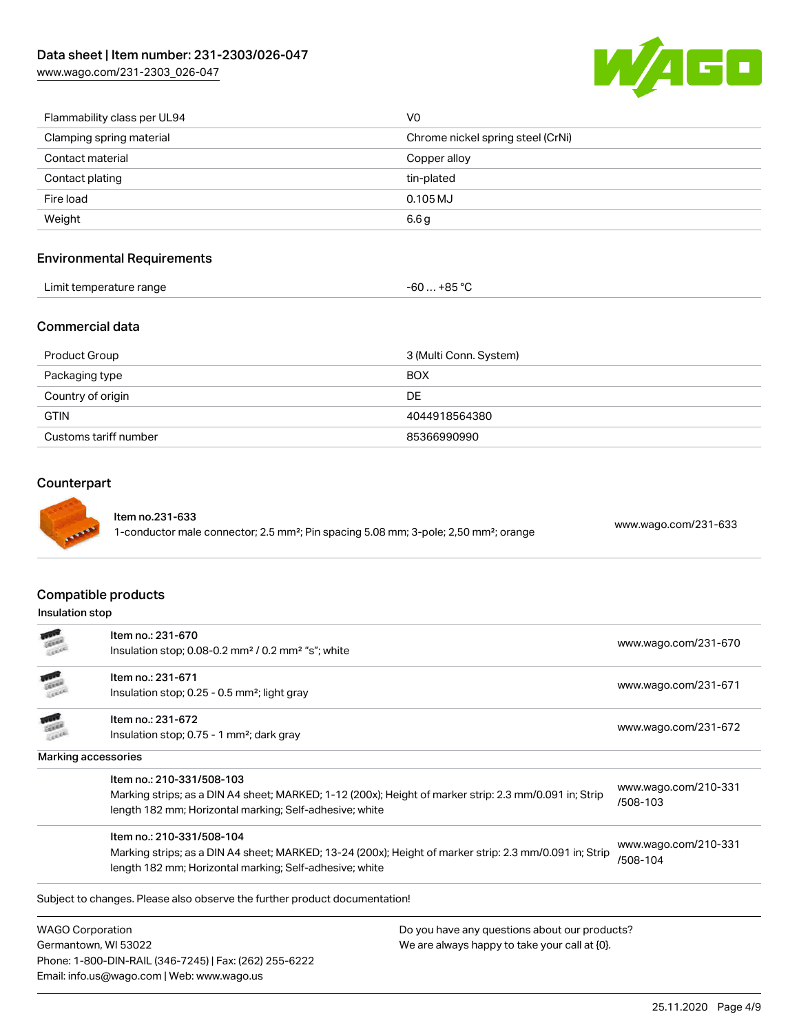[www.wago.com/231-2303\\_026-047](http://www.wago.com/231-2303_026-047)

![](_page_3_Picture_2.jpeg)

| Flammability class per UL94 | V0                                |
|-----------------------------|-----------------------------------|
| Clamping spring material    | Chrome nickel spring steel (CrNi) |
| Contact material            | Copper alloy                      |
| Contact plating             | tin-plated                        |
| Fire load                   | $0.105 \mathrm{MJ}$               |
| Weight                      | 6.6 <sub>g</sub>                  |
|                             |                                   |

## Environmental Requirements

| Limit temperature range | … +85 °C.<br>-ou |
|-------------------------|------------------|
|                         |                  |

### Commercial data

| Product Group         | 3 (Multi Conn. System) |
|-----------------------|------------------------|
| Packaging type        | <b>BOX</b>             |
| Country of origin     | DE                     |
| <b>GTIN</b>           | 4044918564380          |
| Customs tariff number | 85366990990            |

#### **Counterpart**

#### Item no.231-633

1-conductor male connector; 2.5 mm²; Pin spacing 5.08 mm; 3-pole; 2,50 mm²; orange [www.wago.com/231-633](https://www.wago.com/231-633)

#### Compatible products

## Insulation stop

|                         | Item no.: 231-670                                                                                       |                                               | www.wago.com/231-670             |  |
|-------------------------|---------------------------------------------------------------------------------------------------------|-----------------------------------------------|----------------------------------|--|
|                         | Insulation stop; 0.08-0.2 mm <sup>2</sup> / 0.2 mm <sup>2</sup> "s"; white                              |                                               |                                  |  |
|                         | Item no.: 231-671                                                                                       |                                               | www.wago.com/231-671             |  |
|                         | Insulation stop; 0.25 - 0.5 mm <sup>2</sup> ; light gray                                                |                                               |                                  |  |
|                         | Item no.: 231-672                                                                                       |                                               |                                  |  |
|                         | Insulation stop; 0.75 - 1 mm <sup>2</sup> ; dark gray                                                   |                                               | www.wago.com/231-672             |  |
|                         | Marking accessories                                                                                     |                                               |                                  |  |
|                         | Item no.: 210-331/508-103                                                                               |                                               |                                  |  |
|                         | Marking strips; as a DIN A4 sheet; MARKED; 1-12 (200x); Height of marker strip: 2.3 mm/0.091 in; Strip  |                                               | www.wago.com/210-331<br>/508-103 |  |
|                         | length 182 mm; Horizontal marking; Self-adhesive; white                                                 |                                               |                                  |  |
|                         | Item no.: 210-331/508-104                                                                               |                                               |                                  |  |
|                         | Marking strips; as a DIN A4 sheet; MARKED; 13-24 (200x); Height of marker strip: 2.3 mm/0.091 in; Strip |                                               | www.wago.com/210-331<br>/508-104 |  |
|                         | length 182 mm; Horizontal marking; Self-adhesive; white                                                 |                                               |                                  |  |
|                         | Subject to changes. Please also observe the further product documentation!                              |                                               |                                  |  |
| <b>WAGO Corporation</b> |                                                                                                         | Do you have any questions about our products? |                                  |  |

Germantown, WI 53022 Phone: 1-800-DIN-RAIL (346-7245) | Fax: (262) 255-6222 Email: info.us@wago.com | Web: www.wago.us

We are always happy to take your call at {0}.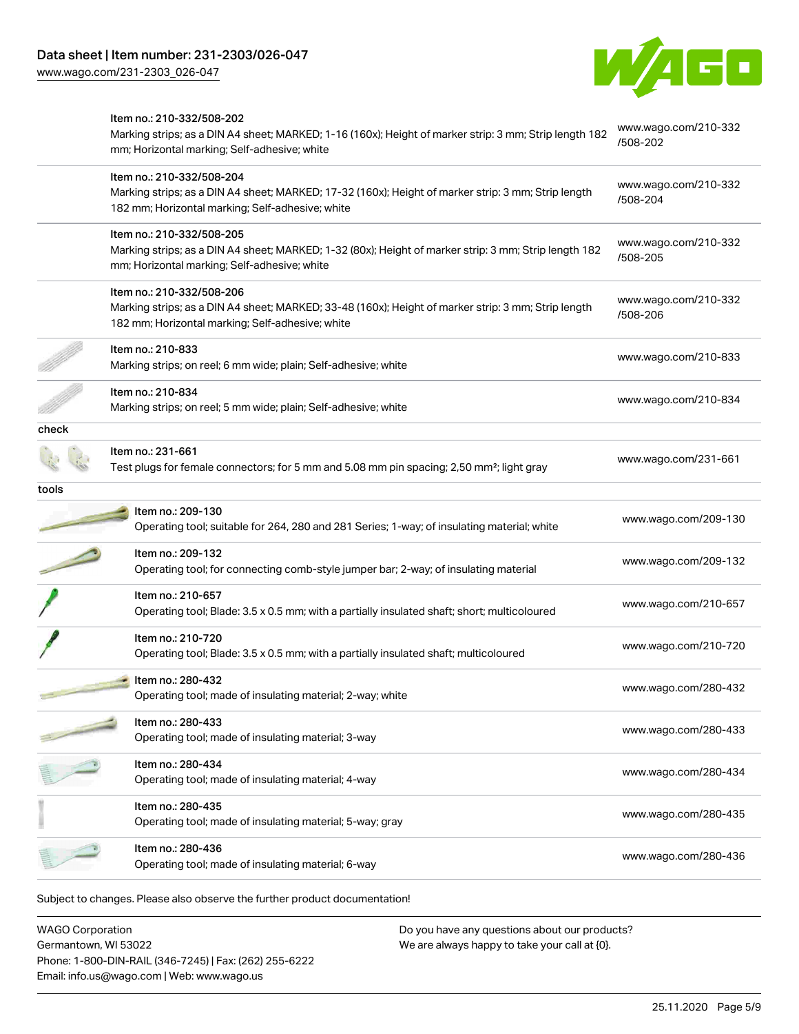[www.wago.com/231-2303\\_026-047](http://www.wago.com/231-2303_026-047)

![](_page_4_Picture_2.jpeg)

|       | Item no.: 210-332/508-202<br>Marking strips; as a DIN A4 sheet; MARKED; 1-16 (160x); Height of marker strip: 3 mm; Strip length 182<br>mm; Horizontal marking; Self-adhesive; white  | www.wago.com/210-332<br>/508-202 |
|-------|--------------------------------------------------------------------------------------------------------------------------------------------------------------------------------------|----------------------------------|
|       | Item no.: 210-332/508-204<br>Marking strips; as a DIN A4 sheet; MARKED; 17-32 (160x); Height of marker strip: 3 mm; Strip length<br>182 mm; Horizontal marking; Self-adhesive; white | www.wago.com/210-332<br>/508-204 |
|       | Item no.: 210-332/508-205<br>Marking strips; as a DIN A4 sheet; MARKED; 1-32 (80x); Height of marker strip: 3 mm; Strip length 182<br>mm; Horizontal marking; Self-adhesive; white   | www.wago.com/210-332<br>/508-205 |
|       | Item no.: 210-332/508-206<br>Marking strips; as a DIN A4 sheet; MARKED; 33-48 (160x); Height of marker strip: 3 mm; Strip length<br>182 mm; Horizontal marking; Self-adhesive; white | www.wago.com/210-332<br>/508-206 |
|       | Item no.: 210-833<br>Marking strips; on reel; 6 mm wide; plain; Self-adhesive; white                                                                                                 | www.wago.com/210-833             |
|       | Item no.: 210-834<br>Marking strips; on reel; 5 mm wide; plain; Self-adhesive; white                                                                                                 | www.wago.com/210-834             |
| check |                                                                                                                                                                                      |                                  |
|       | Item no.: 231-661<br>Test plugs for female connectors; for 5 mm and 5.08 mm pin spacing; 2,50 mm <sup>2</sup> ; light gray                                                           | www.wago.com/231-661             |
| tools |                                                                                                                                                                                      |                                  |
|       | Item no.: 209-130<br>Operating tool; suitable for 264, 280 and 281 Series; 1-way; of insulating material; white                                                                      | www.wago.com/209-130             |
|       | Item no.: 209-132<br>Operating tool; for connecting comb-style jumper bar; 2-way; of insulating material                                                                             | www.wago.com/209-132             |
|       | Item no.: 210-657<br>Operating tool; Blade: 3.5 x 0.5 mm; with a partially insulated shaft; short; multicoloured                                                                     | www.wago.com/210-657             |
|       | Item no.: 210-720<br>Operating tool; Blade: 3.5 x 0.5 mm; with a partially insulated shaft; multicoloured                                                                            | www.wago.com/210-720             |
|       | Item no.: 280-432<br>Operating tool; made of insulating material; 2-way; white                                                                                                       | www.wago.com/280-432             |
|       | Item no.: 280-433<br>Operating tool; made of insulating material; 3-way                                                                                                              | www.wago.com/280-433             |
|       | Item no.: 280-434<br>Operating tool; made of insulating material; 4-way                                                                                                              | www.wago.com/280-434             |
|       | Item no.: 280-435<br>Operating tool; made of insulating material; 5-way; gray                                                                                                        | www.wago.com/280-435             |
|       | Item no.: 280-436<br>Operating tool; made of insulating material; 6-way                                                                                                              | www.wago.com/280-436             |

WAGO Corporation Germantown, WI 53022 Phone: 1-800-DIN-RAIL (346-7245) | Fax: (262) 255-6222 Email: info.us@wago.com | Web: www.wago.us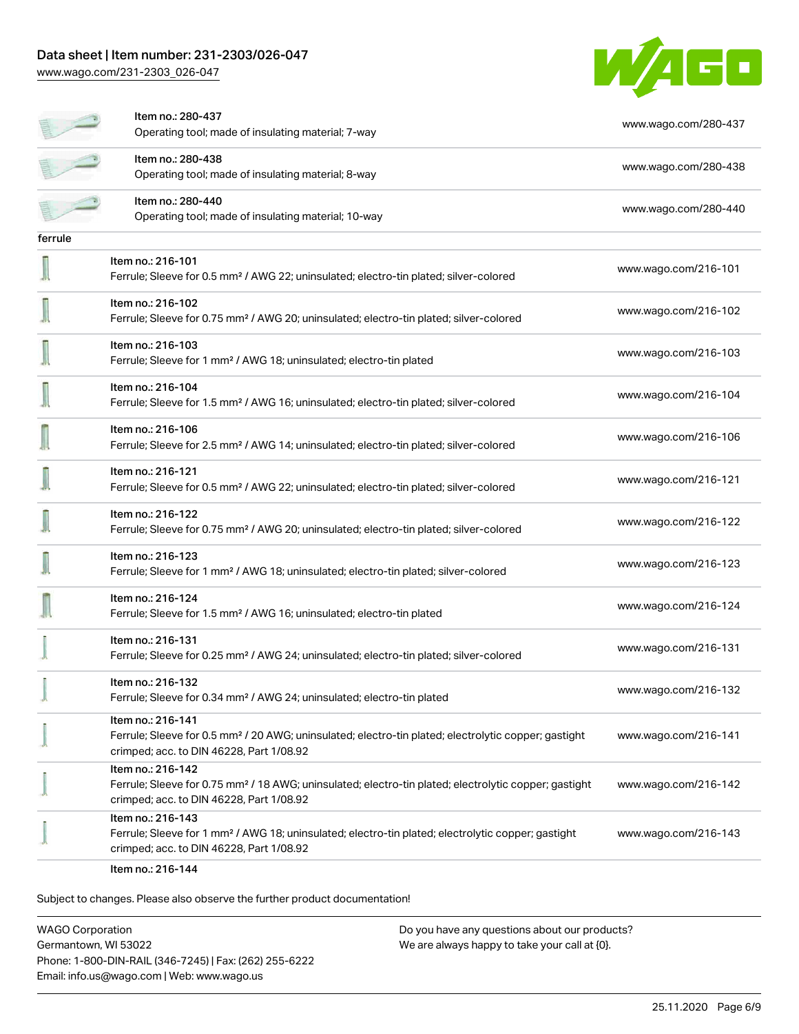# Data sheet | Item number: 231-2303/026-047

[www.wago.com/231-2303\\_026-047](http://www.wago.com/231-2303_026-047)

![](_page_5_Picture_2.jpeg)

|         | Item no.: 280-437<br>Operating tool; made of insulating material; 7-way                                                                                                            | www.wago.com/280-437 |
|---------|------------------------------------------------------------------------------------------------------------------------------------------------------------------------------------|----------------------|
|         | Item no.: 280-438<br>Operating tool; made of insulating material; 8-way                                                                                                            | www.wago.com/280-438 |
|         | Item no.: 280-440<br>Operating tool; made of insulating material; 10-way                                                                                                           | www.wago.com/280-440 |
| ferrule |                                                                                                                                                                                    |                      |
|         | Item no.: 216-101<br>Ferrule; Sleeve for 0.5 mm <sup>2</sup> / AWG 22; uninsulated; electro-tin plated; silver-colored                                                             | www.wago.com/216-101 |
|         | Item no.: 216-102<br>Ferrule; Sleeve for 0.75 mm <sup>2</sup> / AWG 20; uninsulated; electro-tin plated; silver-colored                                                            | www.wago.com/216-102 |
|         | Item no.: 216-103<br>Ferrule; Sleeve for 1 mm <sup>2</sup> / AWG 18; uninsulated; electro-tin plated                                                                               | www.wago.com/216-103 |
|         | Item no.: 216-104<br>Ferrule; Sleeve for 1.5 mm <sup>2</sup> / AWG 16; uninsulated; electro-tin plated; silver-colored                                                             | www.wago.com/216-104 |
|         | Item no.: 216-106<br>Ferrule; Sleeve for 2.5 mm <sup>2</sup> / AWG 14; uninsulated; electro-tin plated; silver-colored                                                             | www.wago.com/216-106 |
|         | Item no.: 216-121<br>Ferrule; Sleeve for 0.5 mm <sup>2</sup> / AWG 22; uninsulated; electro-tin plated; silver-colored                                                             | www.wago.com/216-121 |
|         | ltem no.: 216-122<br>Ferrule; Sleeve for 0.75 mm <sup>2</sup> / AWG 20; uninsulated; electro-tin plated; silver-colored                                                            | www.wago.com/216-122 |
|         | Item no.: 216-123<br>Ferrule; Sleeve for 1 mm <sup>2</sup> / AWG 18; uninsulated; electro-tin plated; silver-colored                                                               | www.wago.com/216-123 |
|         | Item no.: 216-124<br>Ferrule; Sleeve for 1.5 mm <sup>2</sup> / AWG 16; uninsulated; electro-tin plated                                                                             | www.wago.com/216-124 |
|         | Item no.: 216-131<br>Ferrule; Sleeve for 0.25 mm <sup>2</sup> / AWG 24; uninsulated; electro-tin plated; silver-colored                                                            | www.wago.com/216-131 |
|         | Item no.: 216-132<br>Ferrule; Sleeve for 0.34 mm <sup>2</sup> / AWG 24; uninsulated; electro-tin plated                                                                            | www.wago.com/216-132 |
|         | Item no.: 216-141<br>Ferrule; Sleeve for 0.5 mm <sup>2</sup> / 20 AWG; uninsulated; electro-tin plated; electrolytic copper; gastight<br>crimped; acc. to DIN 46228, Part 1/08.92  | www.wago.com/216-141 |
|         | Item no.: 216-142<br>Ferrule; Sleeve for 0.75 mm <sup>2</sup> / 18 AWG; uninsulated; electro-tin plated; electrolytic copper; gastight<br>crimped; acc. to DIN 46228, Part 1/08.92 | www.wago.com/216-142 |
|         | Item no.: 216-143<br>Ferrule; Sleeve for 1 mm <sup>2</sup> / AWG 18; uninsulated; electro-tin plated; electrolytic copper; gastight<br>crimped; acc. to DIN 46228, Part 1/08.92    | www.wago.com/216-143 |
|         | $Hcm$ $n_{0}$ , $216$ , $144$                                                                                                                                                      |                      |

Item no.: 216-144

Subject to changes. Please also observe the further product documentation!

WAGO Corporation Germantown, WI 53022 Phone: 1-800-DIN-RAIL (346-7245) | Fax: (262) 255-6222 Email: info.us@wago.com | Web: www.wago.us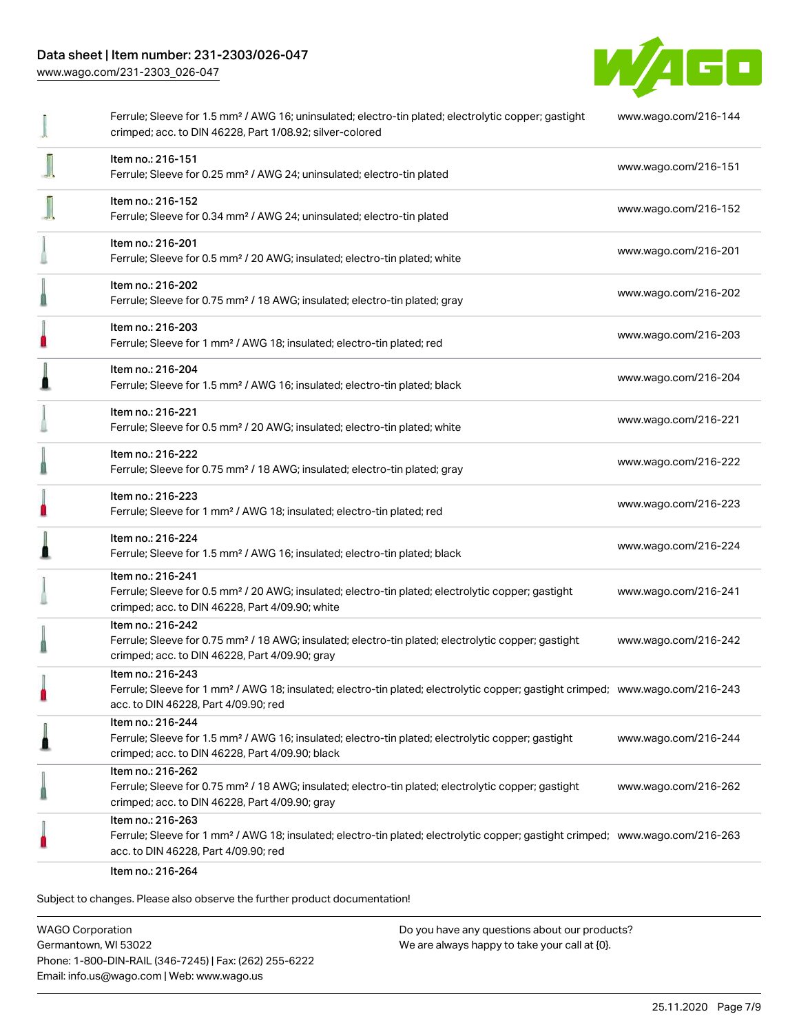[www.wago.com/231-2303\\_026-047](http://www.wago.com/231-2303_026-047)

![](_page_6_Picture_2.jpeg)

|   | Ferrule; Sleeve for 1.5 mm <sup>2</sup> / AWG 16; uninsulated; electro-tin plated; electrolytic copper; gastight<br>crimped; acc. to DIN 46228, Part 1/08.92; silver-colored                            | www.wago.com/216-144 |
|---|---------------------------------------------------------------------------------------------------------------------------------------------------------------------------------------------------------|----------------------|
|   | Item no.: 216-151<br>Ferrule; Sleeve for 0.25 mm <sup>2</sup> / AWG 24; uninsulated; electro-tin plated                                                                                                 | www.wago.com/216-151 |
|   | Item no.: 216-152<br>Ferrule; Sleeve for 0.34 mm <sup>2</sup> / AWG 24; uninsulated; electro-tin plated                                                                                                 | www.wago.com/216-152 |
|   | Item no.: 216-201<br>Ferrule; Sleeve for 0.5 mm <sup>2</sup> / 20 AWG; insulated; electro-tin plated; white                                                                                             | www.wago.com/216-201 |
|   | Item no.: 216-202<br>Ferrule; Sleeve for 0.75 mm <sup>2</sup> / 18 AWG; insulated; electro-tin plated; gray                                                                                             | www.wago.com/216-202 |
| П | Item no.: 216-203<br>Ferrule; Sleeve for 1 mm <sup>2</sup> / AWG 18; insulated; electro-tin plated; red                                                                                                 | www.wago.com/216-203 |
|   | Item no.: 216-204<br>Ferrule; Sleeve for 1.5 mm <sup>2</sup> / AWG 16; insulated; electro-tin plated; black                                                                                             | www.wago.com/216-204 |
|   | Item no.: 216-221<br>Ferrule; Sleeve for 0.5 mm <sup>2</sup> / 20 AWG; insulated; electro-tin plated; white                                                                                             | www.wago.com/216-221 |
|   | Item no.: 216-222<br>Ferrule; Sleeve for 0.75 mm <sup>2</sup> / 18 AWG; insulated; electro-tin plated; gray                                                                                             | www.wago.com/216-222 |
| n | Item no.: 216-223<br>Ferrule; Sleeve for 1 mm <sup>2</sup> / AWG 18; insulated; electro-tin plated; red                                                                                                 | www.wago.com/216-223 |
|   | Item no.: 216-224<br>Ferrule; Sleeve for 1.5 mm <sup>2</sup> / AWG 16; insulated; electro-tin plated; black                                                                                             | www.wago.com/216-224 |
|   | Item no.: 216-241<br>Ferrule; Sleeve for 0.5 mm <sup>2</sup> / 20 AWG; insulated; electro-tin plated; electrolytic copper; gastight<br>crimped; acc. to DIN 46228, Part 4/09.90; white                  | www.wago.com/216-241 |
|   | Item no.: 216-242<br>Ferrule; Sleeve for 0.75 mm <sup>2</sup> / 18 AWG; insulated; electro-tin plated; electrolytic copper; gastight<br>crimped; acc. to DIN 46228, Part 4/09.90; gray                  | www.wago.com/216-242 |
|   | Item no.: 216-243<br>Ferrule; Sleeve for 1 mm <sup>2</sup> / AWG 18; insulated; electro-tin plated; electrolytic copper; gastight crimped; www.wago.com/216-243<br>acc. to DIN 46228, Part 4/09.90; red |                      |
|   | Item no.: 216-244<br>Ferrule; Sleeve for 1.5 mm <sup>2</sup> / AWG 16; insulated; electro-tin plated; electrolytic copper; gastight<br>crimped; acc. to DIN 46228, Part 4/09.90; black                  | www.wago.com/216-244 |
|   | Item no.: 216-262<br>Ferrule; Sleeve for 0.75 mm <sup>2</sup> / 18 AWG; insulated; electro-tin plated; electrolytic copper; gastight<br>crimped; acc. to DIN 46228, Part 4/09.90; gray                  | www.wago.com/216-262 |
|   | Item no.: 216-263<br>Ferrule; Sleeve for 1 mm <sup>2</sup> / AWG 18; insulated; electro-tin plated; electrolytic copper; gastight crimped; www.wago.com/216-263<br>acc. to DIN 46228, Part 4/09.90; red |                      |
|   | Item no.: 216-264                                                                                                                                                                                       |                      |

Subject to changes. Please also observe the further product documentation!

WAGO Corporation Germantown, WI 53022 Phone: 1-800-DIN-RAIL (346-7245) | Fax: (262) 255-6222 Email: info.us@wago.com | Web: www.wago.us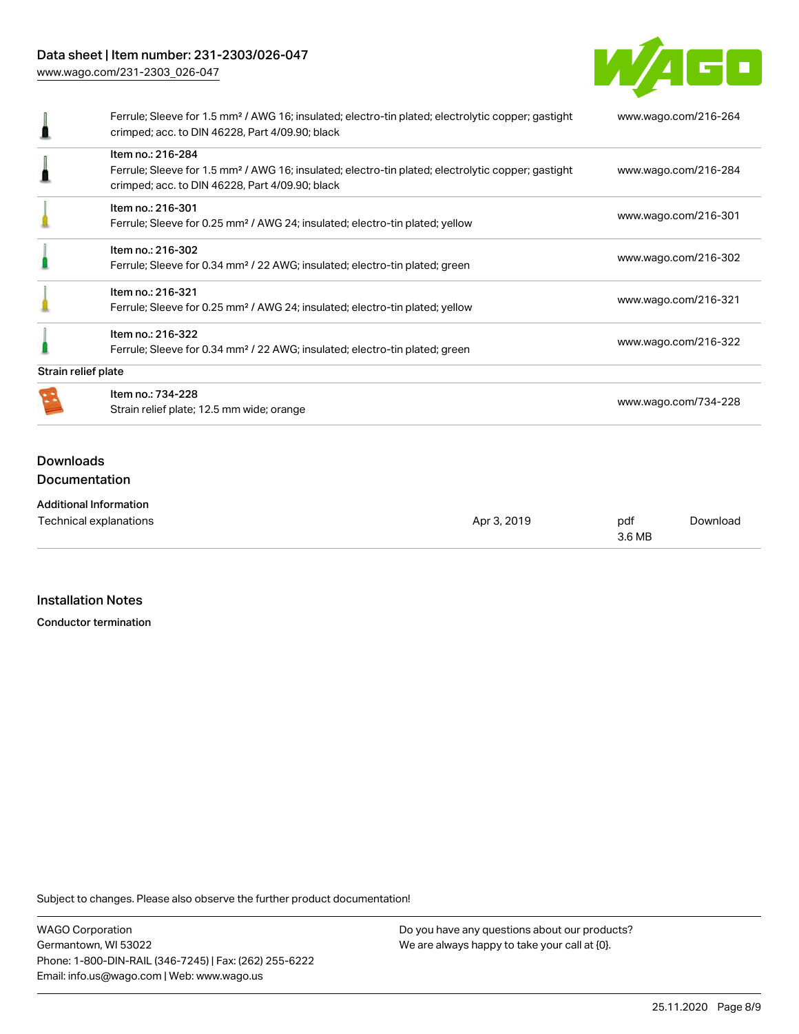# Data sheet | Item number: 231-2303/026-047

[www.wago.com/231-2303\\_026-047](http://www.wago.com/231-2303_026-047)

![](_page_7_Picture_2.jpeg)

|                     | Ferrule; Sleeve for 1.5 mm <sup>2</sup> / AWG 16; insulated; electro-tin plated; electrolytic copper; gastight<br>crimped; acc. to DIN 46228, Part 4/09.90; black | www.wago.com/216-264 |  |
|---------------------|-------------------------------------------------------------------------------------------------------------------------------------------------------------------|----------------------|--|
|                     | Item no.: 216-284                                                                                                                                                 |                      |  |
|                     | Ferrule; Sleeve for 1.5 mm <sup>2</sup> / AWG 16; insulated; electro-tin plated; electrolytic copper; gastight                                                    | www.wago.com/216-284 |  |
|                     | crimped; acc. to DIN 46228, Part 4/09.90; black                                                                                                                   |                      |  |
|                     | Item no.: 216-301                                                                                                                                                 |                      |  |
|                     | Ferrule; Sleeve for 0.25 mm <sup>2</sup> / AWG 24; insulated; electro-tin plated; yellow                                                                          | www.wago.com/216-301 |  |
|                     | Item no.: 216-302                                                                                                                                                 |                      |  |
|                     | Ferrule; Sleeve for 0.34 mm <sup>2</sup> / 22 AWG; insulated; electro-tin plated; green                                                                           | www.wago.com/216-302 |  |
|                     | Item no.: 216-321                                                                                                                                                 |                      |  |
|                     | Ferrule; Sleeve for 0.25 mm <sup>2</sup> / AWG 24; insulated; electro-tin plated; yellow                                                                          | www.wago.com/216-321 |  |
|                     | Item no.: 216-322                                                                                                                                                 |                      |  |
|                     | Ferrule; Sleeve for 0.34 mm <sup>2</sup> / 22 AWG; insulated; electro-tin plated; green                                                                           | www.wago.com/216-322 |  |
| Strain relief plate |                                                                                                                                                                   |                      |  |
|                     | Item no.: 734-228                                                                                                                                                 |                      |  |
|                     | Strain relief plate; 12.5 mm wide; orange                                                                                                                         | www.wago.com/734-228 |  |
|                     |                                                                                                                                                                   |                      |  |
| <b>Downloads</b>    |                                                                                                                                                                   |                      |  |
|                     | Documentation                                                                                                                                                     |                      |  |
|                     |                                                                                                                                                                   |                      |  |
|                     | <b>Additional Information</b>                                                                                                                                     |                      |  |

| .<br>Technical explanations | Apr 3, 2019 | pdf    | Download |
|-----------------------------|-------------|--------|----------|
|                             |             | 3.6 MB |          |

#### Installation Notes

Conductor termination

Subject to changes. Please also observe the further product documentation!

WAGO Corporation Germantown, WI 53022 Phone: 1-800-DIN-RAIL (346-7245) | Fax: (262) 255-6222 Email: info.us@wago.com | Web: www.wago.us